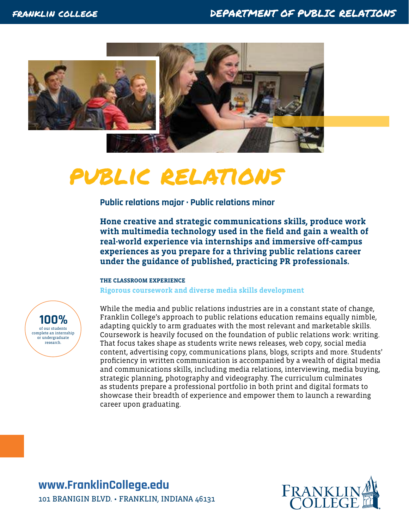

# public relations

**Public relations major · Public relations minor** 

**Hone creative and strategic communications skills, produce work with multimedia technology used in the field and gain a wealth of real-world experience via internships and immersive off-campus experiences as you prepare for a thriving public relations career under the guidance of published, practicing PR professionals.**

#### **THE CLASSROOM EXPERIENCE**

**Rigorous coursework and diverse media skills development**



While the media and public relations industries are in a constant state of change, Franklin College's approach to public relations education remains equally nimble, adapting quickly to arm graduates with the most relevant and marketable skills. Coursework is heavily focused on the foundation of public relations work: writing. That focus takes shape as students write news releases, web copy, social media content, advertising copy, communications plans, blogs, scripts and more. Students' proficiency in written communication is accompanied by a wealth of digital media and communications skills, including media relations, interviewing, media buying, strategic planning, photography and videography. The curriculum culminates as students prepare a professional portfolio in both print and digital formats to showcase their breadth of experience and empower them to launch a rewarding career upon graduating.

**www[.FranklinCollege.edu](http://www.franklincollege.edu)** 101 BRANIGIN BLVD. • FRANKLIN, INDIANA 46131